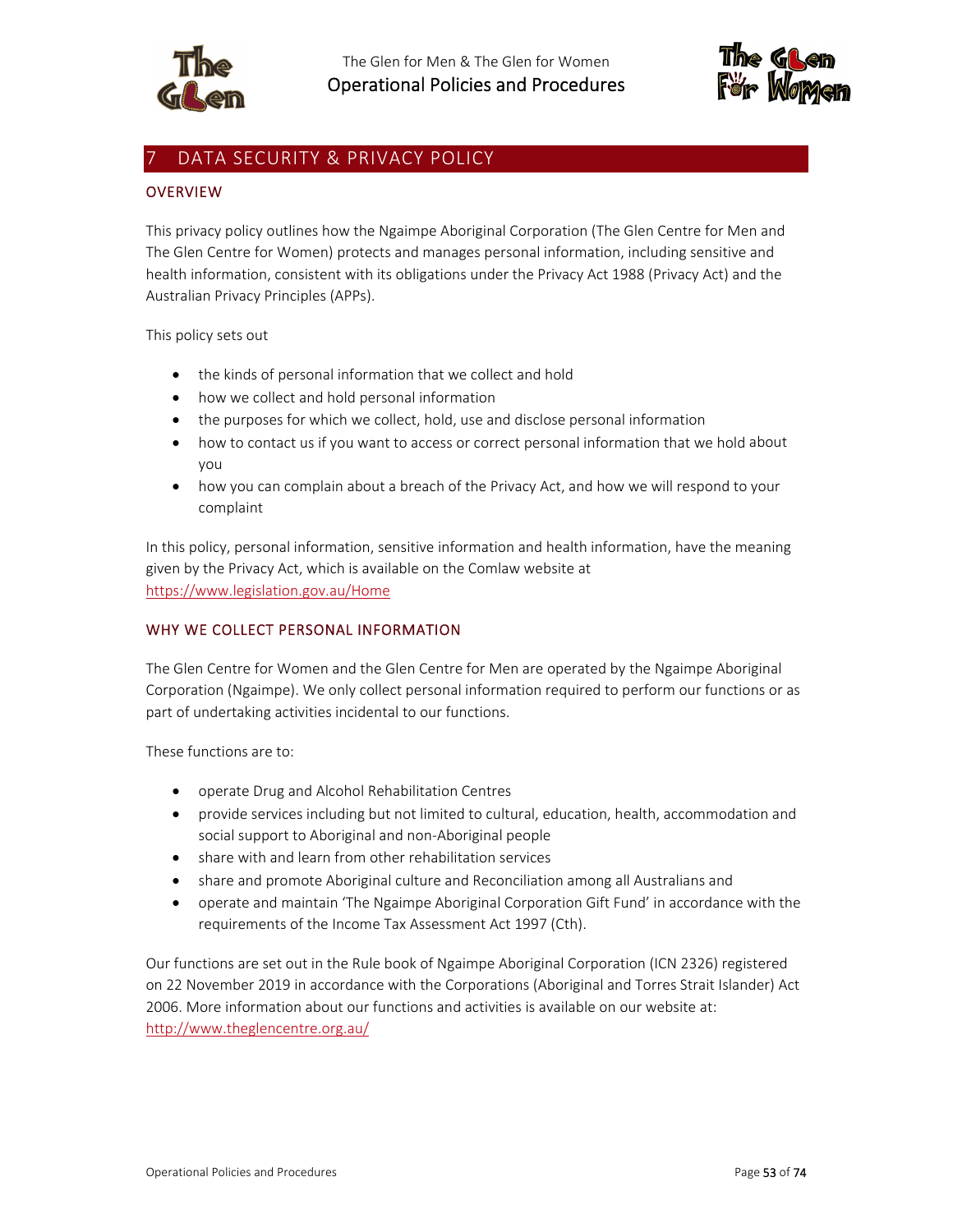



# DATA SECURITY & PRIVACY POLICY

### **OVERVIEW**

This privacy policy outlines how the Ngaimpe Aboriginal Corporation (The Glen Centre for Men and The Glen Centre for Women) protects and manages personal information, including sensitive and health information, consistent with its obligations under the Privacy Act 1988 (Privacy Act) and the Australian Privacy Principles (APPs).

This policy sets out

- the kinds of personal information that we collect and hold
- how we collect and hold personal information
- the purposes for which we collect, hold, use and disclose personal information
- how to contact us if you want to access or correct personal information that we hold about you
- how you can complain about a breach of the Privacy Act, and how we will respond to your complaint

In this policy, personal information, sensitive information and health information, have the meaning given by the Privacy Act, which is available on the Comlaw website at https://www.legislation.gov.au/Home

### WHY WE COLLECT PERSONAL INFORMATION

The Glen Centre for Women and the Glen Centre for Men are operated by the Ngaimpe Aboriginal Corporation (Ngaimpe). We only collect personal information required to perform our functions or as part of undertaking activities incidental to our functions.

These functions are to:

- operate Drug and Alcohol Rehabilitation Centres
- provide services including but not limited to cultural, education, health, accommodation and social support to Aboriginal and non‐Aboriginal people
- share with and learn from other rehabilitation services
- share and promote Aboriginal culture and Reconciliation among all Australians and
- operate and maintain 'The Ngaimpe Aboriginal Corporation Gift Fund' in accordance with the requirements of the Income Tax Assessment Act 1997 (Cth).

Our functions are set out in the Rule book of Ngaimpe Aboriginal Corporation (ICN 2326) registered on 22 November 2019 in accordance with the Corporations (Aboriginal and Torres Strait Islander) Act 2006. More information about our functions and activities is available on our website at: http://www.theglencentre.org.au/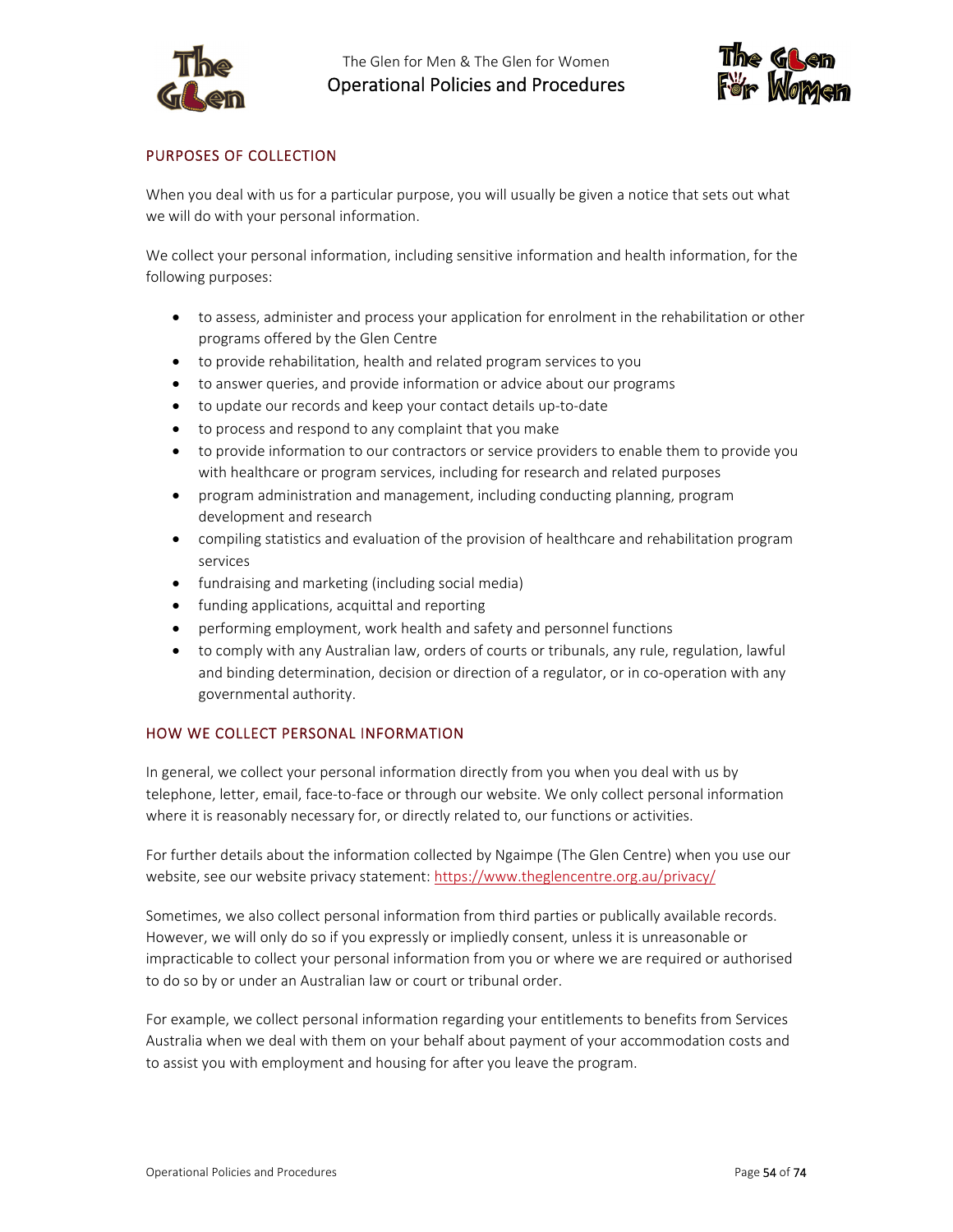

The Glen for Men & The Glen for Women Operational Policies and Procedures



# PURPOSES OF COLLECTION

When you deal with us for a particular purpose, you will usually be given a notice that sets out what we will do with your personal information.

We collect your personal information, including sensitive information and health information, for the following purposes:

- to assess, administer and process your application for enrolment in the rehabilitation or other programs offered by the Glen Centre
- to provide rehabilitation, health and related program services to you
- to answer queries, and provide information or advice about our programs
- to update our records and keep your contact details up‐to‐date
- to process and respond to any complaint that you make
- to provide information to our contractors or service providers to enable them to provide you with healthcare or program services, including for research and related purposes
- program administration and management, including conducting planning, program development and research
- compiling statistics and evaluation of the provision of healthcare and rehabilitation program services
- fundraising and marketing (including social media)
- funding applications, acquittal and reporting
- performing employment, work health and safety and personnel functions
- to comply with any Australian law, orders of courts or tribunals, any rule, regulation, lawful and binding determination, decision or direction of a regulator, or in co-operation with any governmental authority.

#### HOW WE COLLECT PERSONAL INFORMATION

In general, we collect your personal information directly from you when you deal with us by telephone, letter, email, face‐to‐face or through our website. We only collect personal information where it is reasonably necessary for, or directly related to, our functions or activities.

For further details about the information collected by Ngaimpe (The Glen Centre) when you use our website, see our website privacy statement: https://www.theglencentre.org.au/privacy/

Sometimes, we also collect personal information from third parties or publically available records. However, we will only do so if you expressly or impliedly consent, unless it is unreasonable or impracticable to collect your personal information from you or where we are required or authorised to do so by or under an Australian law or court or tribunal order.

For example, we collect personal information regarding your entitlements to benefits from Services Australia when we deal with them on your behalf about payment of your accommodation costs and to assist you with employment and housing for after you leave the program.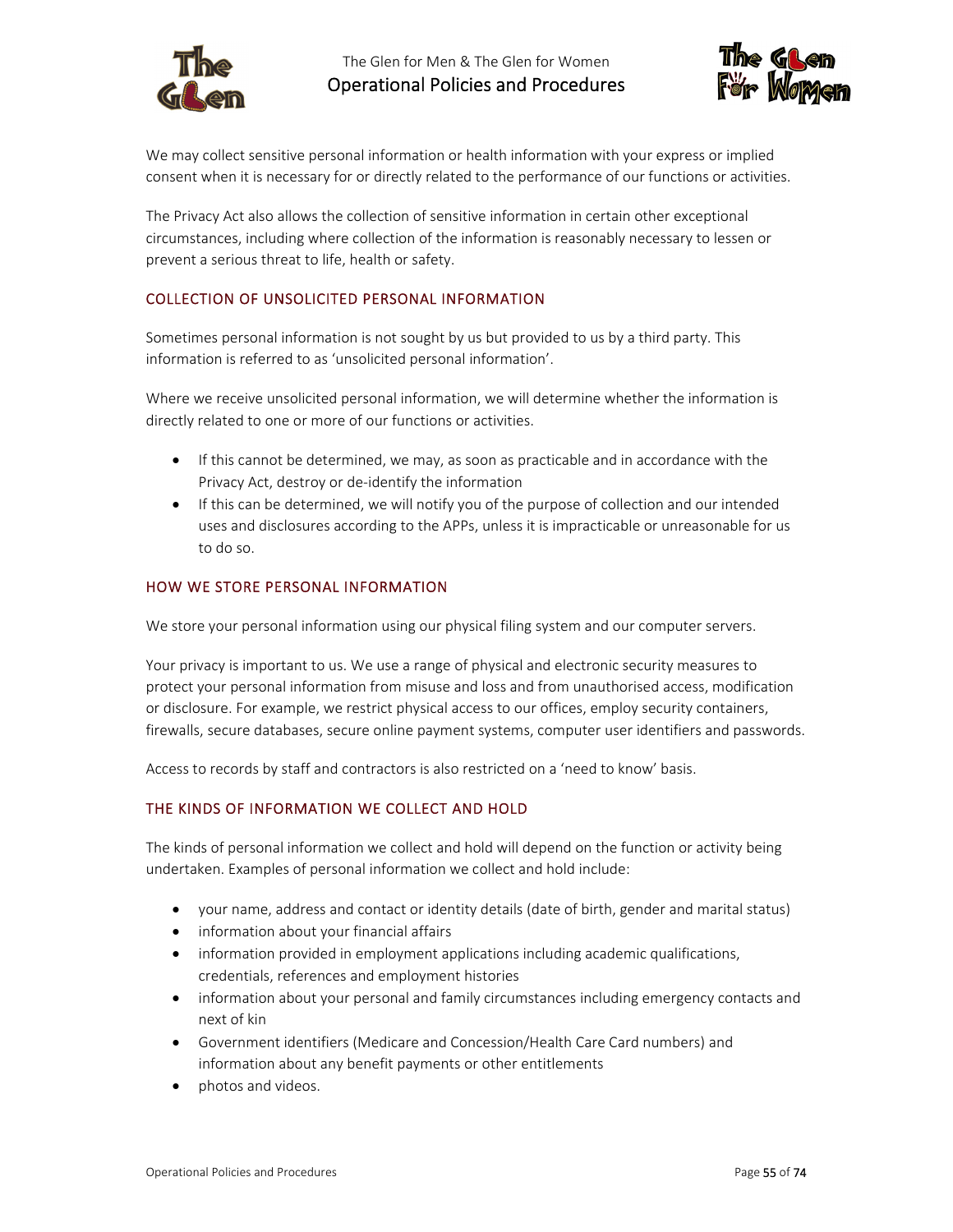



We may collect sensitive personal information or health information with your express or implied consent when it is necessary for or directly related to the performance of our functions or activities.

The Privacy Act also allows the collection of sensitive information in certain other exceptional circumstances, including where collection of the information is reasonably necessary to lessen or prevent a serious threat to life, health or safety.

# COLLECTION OF UNSOLICITED PERSONAL INFORMATION

Sometimes personal information is not sought by us but provided to us by a third party. This information is referred to as 'unsolicited personal information'.

Where we receive unsolicited personal information, we will determine whether the information is directly related to one or more of our functions or activities.

- If this cannot be determined, we may, as soon as practicable and in accordance with the Privacy Act, destroy or de‐identify the information
- If this can be determined, we will notify you of the purpose of collection and our intended uses and disclosures according to the APPs, unless it is impracticable or unreasonable for us to do so.

#### HOW WE STORE PERSONAL INFORMATION

We store your personal information using our physical filing system and our computer servers.

Your privacy is important to us. We use a range of physical and electronic security measures to protect your personal information from misuse and loss and from unauthorised access, modification or disclosure. For example, we restrict physical access to our offices, employ security containers, firewalls, secure databases, secure online payment systems, computer user identifiers and passwords.

Access to records by staff and contractors is also restricted on a 'need to know' basis.

### THE KINDS OF INFORMATION WE COLLECT AND HOLD

The kinds of personal information we collect and hold will depend on the function or activity being undertaken. Examples of personal information we collect and hold include:

- your name, address and contact or identity details (date of birth, gender and marital status)
- information about your financial affairs
- information provided in employment applications including academic qualifications, credentials, references and employment histories
- information about your personal and family circumstances including emergency contacts and next of kin
- Government identifiers (Medicare and Concession/Health Care Card numbers) and information about any benefit payments or other entitlements
- photos and videos.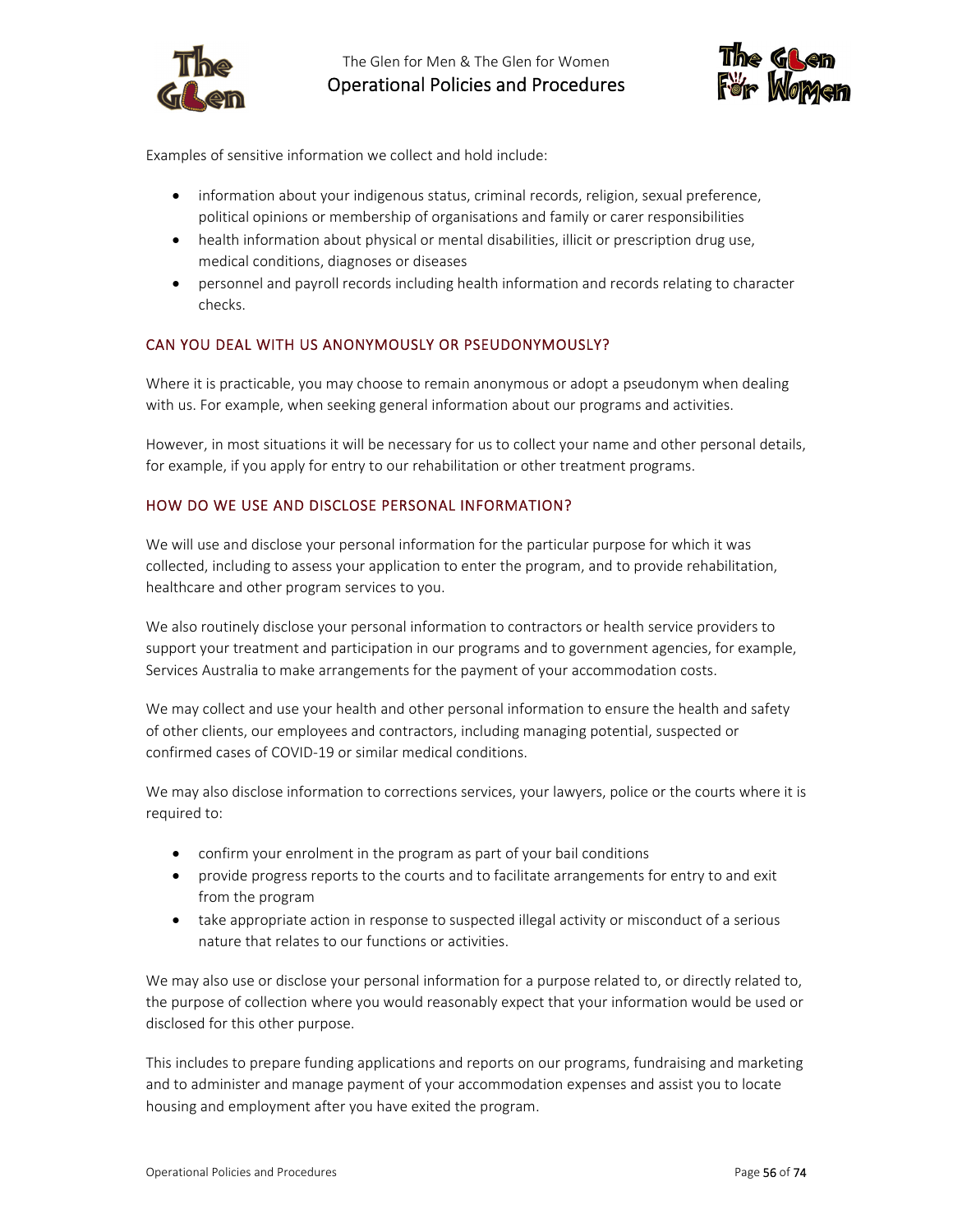

The Glen for Men & The Glen for Women Operational Policies and Procedures



Examples of sensitive information we collect and hold include:

- information about your indigenous status, criminal records, religion, sexual preference, political opinions or membership of organisations and family or carer responsibilities
- health information about physical or mental disabilities, illicit or prescription drug use, medical conditions, diagnoses or diseases
- personnel and payroll records including health information and records relating to character checks.

### CAN YOU DEAL WITH US ANONYMOUSLY OR PSEUDONYMOUSLY?

Where it is practicable, you may choose to remain anonymous or adopt a pseudonym when dealing with us. For example, when seeking general information about our programs and activities.

However, in most situations it will be necessary for us to collect your name and other personal details, for example, if you apply for entry to our rehabilitation or other treatment programs.

### HOW DO WE USE AND DISCLOSE PERSONAL INFORMATION?

We will use and disclose your personal information for the particular purpose for which it was collected, including to assess your application to enter the program, and to provide rehabilitation, healthcare and other program services to you.

We also routinely disclose your personal information to contractors or health service providers to support your treatment and participation in our programs and to government agencies, for example, Services Australia to make arrangements for the payment of your accommodation costs.

We may collect and use your health and other personal information to ensure the health and safety of other clients, our employees and contractors, including managing potential, suspected or confirmed cases of COVID‐19 or similar medical conditions.

We may also disclose information to corrections services, your lawyers, police or the courts where it is required to:

- confirm your enrolment in the program as part of your bail conditions
- provide progress reports to the courts and to facilitate arrangements for entry to and exit from the program
- take appropriate action in response to suspected illegal activity or misconduct of a serious nature that relates to our functions or activities.

We may also use or disclose your personal information for a purpose related to, or directly related to, the purpose of collection where you would reasonably expect that your information would be used or disclosed for this other purpose.

This includes to prepare funding applications and reports on our programs, fundraising and marketing and to administer and manage payment of your accommodation expenses and assist you to locate housing and employment after you have exited the program.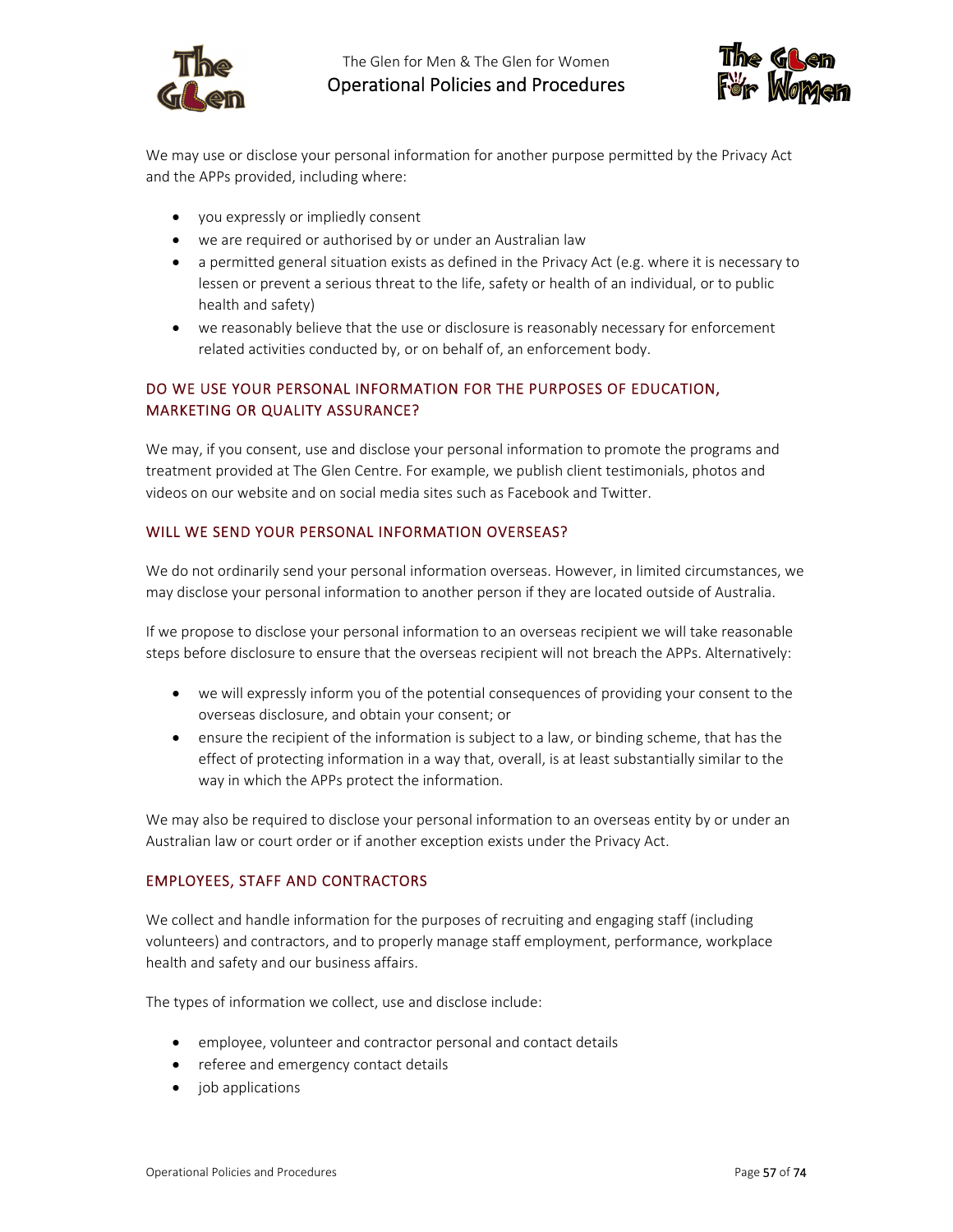



We may use or disclose your personal information for another purpose permitted by the Privacy Act and the APPs provided, including where:

- you expressly or impliedly consent
- we are required or authorised by or under an Australian law
- a permitted general situation exists as defined in the Privacy Act (e.g. where it is necessary to lessen or prevent a serious threat to the life, safety or health of an individual, or to public health and safety)
- we reasonably believe that the use or disclosure is reasonably necessary for enforcement related activities conducted by, or on behalf of, an enforcement body.

# DO WE USE YOUR PERSONAL INFORMATION FOR THE PURPOSES OF EDUCATION, MARKETING OR QUALITY ASSURANCE?

We may, if you consent, use and disclose your personal information to promote the programs and treatment provided at The Glen Centre. For example, we publish client testimonials, photos and videos on our website and on social media sites such as Facebook and Twitter.

#### WILL WE SEND YOUR PERSONAL INFORMATION OVERSEAS?

We do not ordinarily send your personal information overseas. However, in limited circumstances, we may disclose your personal information to another person if they are located outside of Australia.

If we propose to disclose your personal information to an overseas recipient we will take reasonable steps before disclosure to ensure that the overseas recipient will not breach the APPs. Alternatively:

- we will expressly inform you of the potential consequences of providing your consent to the overseas disclosure, and obtain your consent; or
- ensure the recipient of the information is subject to a law, or binding scheme, that has the effect of protecting information in a way that, overall, is at least substantially similar to the way in which the APPs protect the information.

We may also be required to disclose your personal information to an overseas entity by or under an Australian law or court order or if another exception exists under the Privacy Act.

#### EMPLOYEES, STAFF AND CONTRACTORS

We collect and handle information for the purposes of recruiting and engaging staff (including volunteers) and contractors, and to properly manage staff employment, performance, workplace health and safety and our business affairs.

The types of information we collect, use and disclose include:

- employee, volunteer and contractor personal and contact details
- referee and emergency contact details
- job applications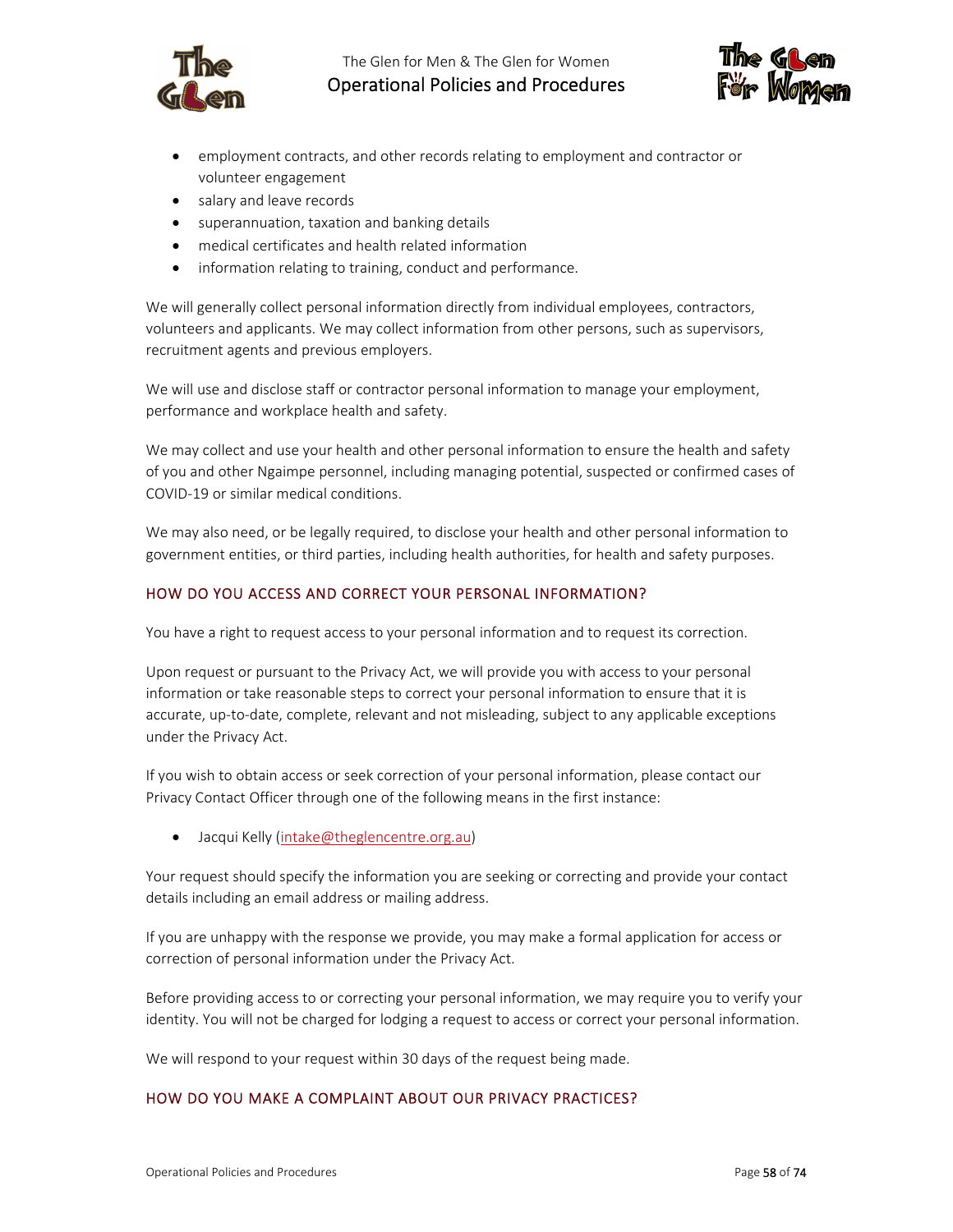

The Glen for Men & The Glen for Women Operational Policies and Procedures



- employment contracts, and other records relating to employment and contractor or volunteer engagement
- salary and leave records
- superannuation, taxation and banking details
- medical certificates and health related information
- information relating to training, conduct and performance.

We will generally collect personal information directly from individual employees, contractors, volunteers and applicants. We may collect information from other persons, such as supervisors, recruitment agents and previous employers.

We will use and disclose staff or contractor personal information to manage your employment, performance and workplace health and safety.

We may collect and use your health and other personal information to ensure the health and safety of you and other Ngaimpe personnel, including managing potential, suspected or confirmed cases of COVID‐19 or similar medical conditions.

We may also need, or be legally required, to disclose your health and other personal information to government entities, or third parties, including health authorities, for health and safety purposes.

### HOW DO YOU ACCESS AND CORRECT YOUR PERSONAL INFORMATION?

You have a right to request access to your personal information and to request its correction.

Upon request or pursuant to the Privacy Act, we will provide you with access to your personal information or take reasonable steps to correct your personal information to ensure that it is accurate, up‐to‐date, complete, relevant and not misleading, subject to any applicable exceptions under the Privacy Act.

If you wish to obtain access or seek correction of your personal information, please contact our Privacy Contact Officer through one of the following means in the first instance:

Jacqui Kelly (intake@theglencentre.org.au)

Your request should specify the information you are seeking or correcting and provide your contact details including an email address or mailing address.

If you are unhappy with the response we provide, you may make a formal application for access or correction of personal information under the Privacy Act.

Before providing access to or correcting your personal information, we may require you to verify your identity. You will not be charged for lodging a request to access or correct your personal information.

We will respond to your request within 30 days of the request being made.

### HOW DO YOU MAKE A COMPLAINT ABOUT OUR PRIVACY PRACTICES?